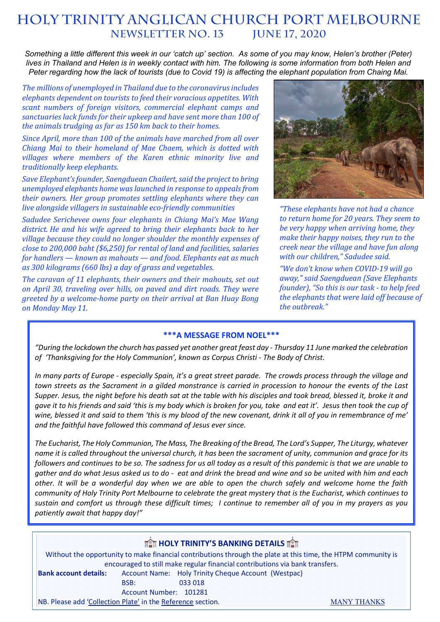# **HOLY TRINITY Anglican church PORT MELBOURNE NEWSLETTER NO. 13**

*Something a little different this week in our 'catch up' section. As some of you may know, Helen's brother (Peter) lives in Thailand and Helen is in weekly contact with him. The following is some information from both Helen and Peter regarding how the lack of tourists (due to Covid 19) is affecting the elephant population from Chaing Mai.*

*The millions of unemployed in Thailand due to the coronavirus includes elephants dependent on tourists to feed their voracious appetites. With scant numbers of foreign visitors, commercial elephant camps and* sanctuaries lack funds for their upkeep and have sent more than 100 of *the animals trudging as far as 150 km back to their homes.* 

*Since April, more than 100 of the animals have marched from all over Chiang Mai to their homeland of Mae Chaem, which is dotted with* villages where members of the Karen ethnic minority live and *traditionally keep elephants.*

*Save Elephant's founder, Saengduean Chailert, said the project to bring unemployed elephants home was launched in response to appeals from their owners. Her group promotes settling elephants where they can live alongside villagers in sustainable eco-friendly communities* 

Sadudee Serichevee owns four elephants in Chiang Mai's Mae Wang district. He and his wife agreed to bring their elephants back to her *village because they could no longer shoulder the monthly expenses of close to* 200,000 baht (\$6,250) for rental of land and facilities, salaries *for handlers* — *known as mahouts* — *and food. Elephants eat as much* as 300 kilograms (660 lbs) a day of grass and vegetables.

The caravan of 11 elephants, their owners and their mahouts, set out on April 30, traveling over hills, on paved and dirt roads. They were *greeted by a welcome-home party on their arrival at Ban Huay Bong on Monday May 11.*

l



*"These elephants have not had a chance*  to return home for 20 years. They seem to *be very happy when arriving home, they make their happy noises, they run to the creek near the village and have fun along with our children," Sadudee said.*

*"We don't know when COVID-19 will go away," said Saengduean (Save Elephants founder*), "So this is our task - to help feed the elephants that were laid off because of *the outbreak."*

### **\*\*\*A MESSAGE FROM NOEL\*\*\***

*"During the lockdown the church has passed yet another great feast day - Thursday 11 June marked the celebration of 'Thanksgiving for the Holy Communion', known as Corpus Christi - The Body of Christ.* 

*In many parts of Europe - especially Spain, it's a great street parade. The crowds process through the village and town streets as the Sacrament in a gilded monstrance is carried in procession to honour the events of the Last Supper. Jesus, the night before his death sat at the table with his disciples and took bread, blessed it, broke it and gave it to his friends and said 'this is my body which is broken for you, take and eat it'. Jesus then took the cup of wine, blessed it and said to them 'this is my blood of the new covenant, drink it all of you in remembrance of me' and the faithful have followed this command of Jesus ever since.* 

*The Eucharist, The Holy Communion, The Mass, The Breaking of the Bread, The Lord's Supper, The Liturgy, whatever name it is called throughout the universal church, it has been the sacrament of unity, communion and grace for its followers and continues to be so. The sadness for us all today as a result of this pandemic is that we are unable to gather and do what Jesus asked us to do - eat and drink the bread and wine and so be united with him and each other. It will be a wonderful day when we are able to open the church safely and welcome home the faith community of Holy Trinity Port Melbourne to celebrate the great mystery that is the Eucharist, which continues to sustain and comfort us through these difficult times; I continue to remember all of you in my prayers as you patiently await that happy day!"*

| <b>THE HOLY TRINITY'S BANKING DETAILS THE</b>                                                                 |  |                                                     |                    |
|---------------------------------------------------------------------------------------------------------------|--|-----------------------------------------------------|--------------------|
| Without the opportunity to make financial contributions through the plate at this time, the HTPM community is |  |                                                     |                    |
| encouraged to still make regular financial contributions via bank transfers.                                  |  |                                                     |                    |
| <b>Bank account details:</b>                                                                                  |  | Account Name: Holy Trinity Cheque Account (Westpac) |                    |
| BSB:                                                                                                          |  | 033 018                                             |                    |
| Account Number: 101281                                                                                        |  |                                                     |                    |
| NB. Please add 'Collection Plate' in the Reference section.                                                   |  |                                                     | <b>MANY THANKS</b> |